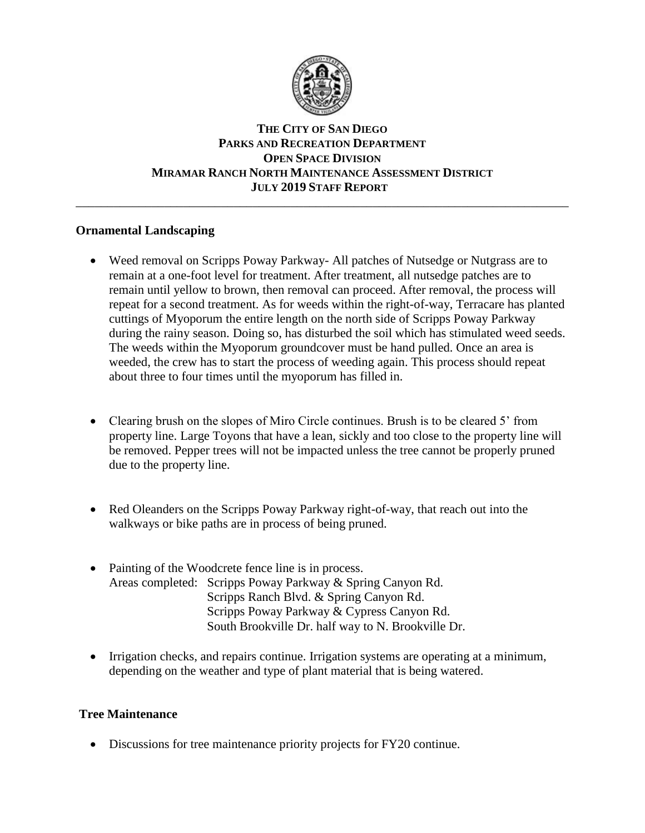

# **THE CITY OF SAN DIEGO PARKS AND RECREATION DEPARTMENT OPEN SPACE DIVISION MIRAMAR RANCH NORTH MAINTENANCE ASSESSMENT DISTRICT JULY 2019 STAFF REPORT**

\_\_\_\_\_\_\_\_\_\_\_\_\_\_\_\_\_\_\_\_\_\_\_\_\_\_\_\_\_\_\_\_\_\_\_\_\_\_\_\_\_\_\_\_\_\_\_\_\_\_\_\_\_\_\_\_\_\_\_\_\_\_\_\_\_\_\_\_\_\_\_\_\_\_\_\_\_\_

# **Ornamental Landscaping**

- Weed removal on Scripps Poway Parkway- All patches of Nutsedge or Nutgrass are to remain at a one-foot level for treatment. After treatment, all nutsedge patches are to remain until yellow to brown, then removal can proceed. After removal, the process will repeat for a second treatment. As for weeds within the right-of-way, Terracare has planted cuttings of Myoporum the entire length on the north side of Scripps Poway Parkway during the rainy season. Doing so, has disturbed the soil which has stimulated weed seeds. The weeds within the Myoporum groundcover must be hand pulled. Once an area is weeded, the crew has to start the process of weeding again. This process should repeat about three to four times until the myoporum has filled in.
- Clearing brush on the slopes of Miro Circle continues. Brush is to be cleared 5' from property line. Large Toyons that have a lean, sickly and too close to the property line will be removed. Pepper trees will not be impacted unless the tree cannot be properly pruned due to the property line.
- Red Oleanders on the Scripps Poway Parkway right-of-way, that reach out into the walkways or bike paths are in process of being pruned.
- Painting of the Woodcrete fence line is in process. Areas completed: Scripps Poway Parkway & Spring Canyon Rd. Scripps Ranch Blvd. & Spring Canyon Rd. Scripps Poway Parkway & Cypress Canyon Rd. South Brookville Dr. half way to N. Brookville Dr.
- Irrigation checks, and repairs continue. Irrigation systems are operating at a minimum, depending on the weather and type of plant material that is being watered.

# **Tree Maintenance**

• Discussions for tree maintenance priority projects for FY20 continue.